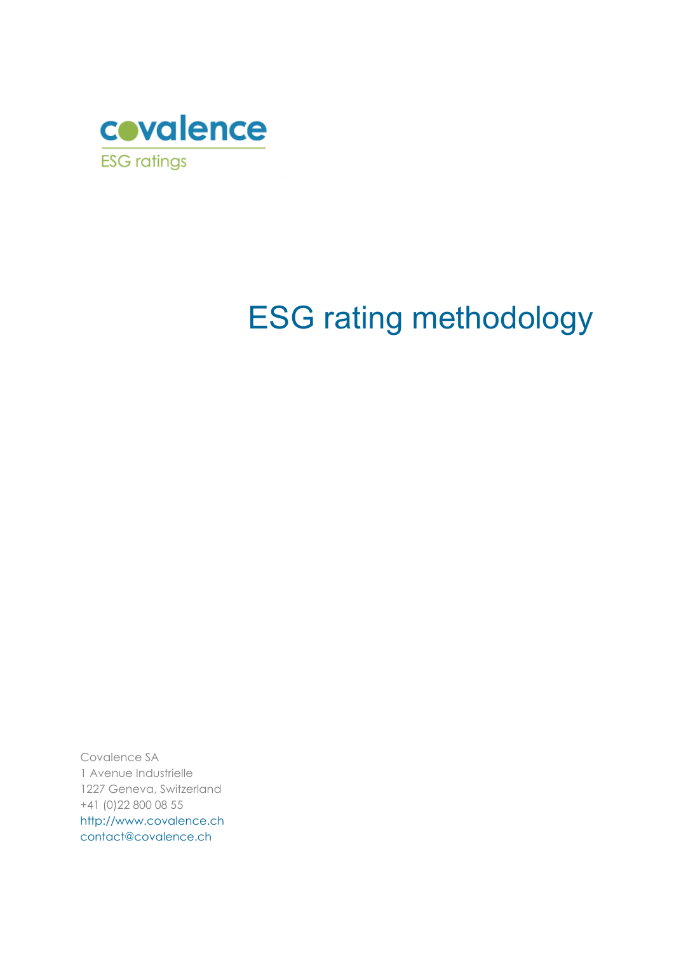

# ESG rating methodology

Covalence SA 1 Avenue Industrielle 1227 Geneva, Switzerland +41 (0)22 800 08 55 [http://www.covalence.ch](http://www.covalence.ch/) [contact@covalence.ch](mailto:contact@covalence.ch)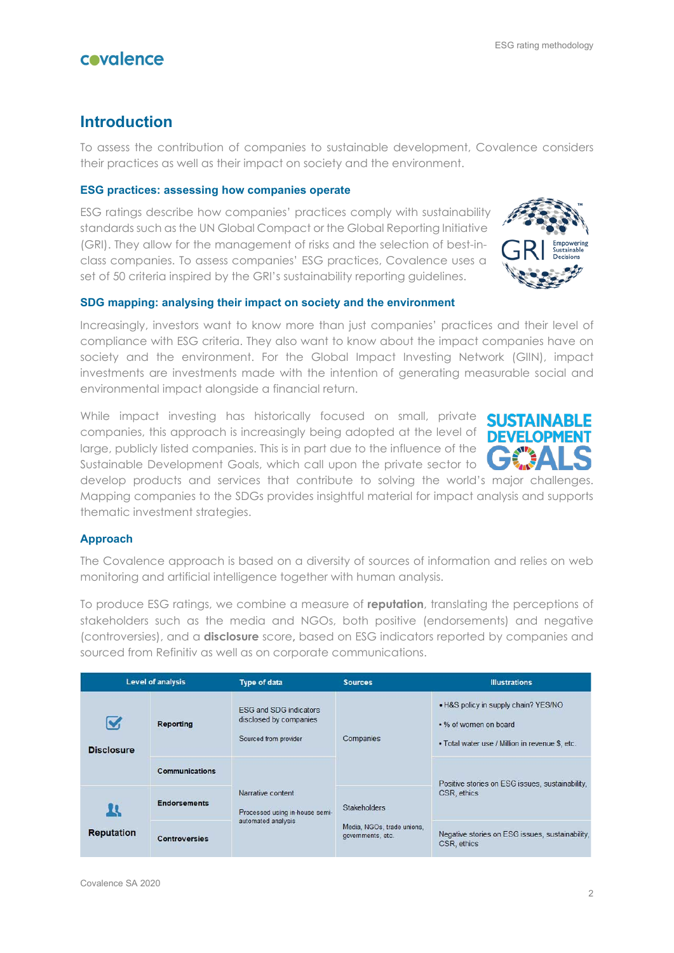## **Introduction**

To assess the contribution of companies to sustainable development, Covalence considers their practices as well as their impact on society and the environment.

#### **ESG practices: assessing how companies operate**

ESG ratings describe how companies' practices comply with sustainability standards such as the UN Global Compact or the Global Reporting Initiative (GRI). They allow for the management of risks and the selection of best-inclass companies. To assess companies' ESG practices, Covalence uses a set of 50 criteria inspired by the GRI's sustainability reporting guidelines.

### **SDG mapping: analysing their impact on society and the environment**

Increasingly, investors want to know more than just companies' practices and their level of compliance with ESG criteria. They also want to know about the impact companies have on society and the environment. For the Global Impact Investing Network (GIIN), impact investments are investments made with the intention of generating measurable social and environmental impact alongside a financial return.

While impact investing has historically focused on small, private companies, this approach is increasingly being adopted at the level of large, publicly listed companies. This is in part due to the influence of the Sustainable Development Goals, which call upon the private sector to

develop products and services that contribute to solving the world's major challenges. Mapping companies to the SDGs provides insightful material for impact analysis and supports thematic investment strategies.

## **Approach**

The Covalence approach is based on a diversity of sources of information and relies on web monitoring and artificial intelligence together with human analysis.

To produce ESG ratings, we combine a measure of **reputation**, translating the perceptions of stakeholders such as the media and NGOs, both positive (endorsements) and negative (controversies), and a **disclosure** score**,** based on ESG indicators reported by companies and sourced from Refinitiv as well as on corporate communications.

| <b>Level of analysis</b> |                       | Type of data                                                                     | <b>Illustrations</b><br><b>Sources</b>                                 |                                                                                                                  |  |
|--------------------------|-----------------------|----------------------------------------------------------------------------------|------------------------------------------------------------------------|------------------------------------------------------------------------------------------------------------------|--|
| <b>Disclosure</b>        | Reporting             | <b>ESG and SDG indicators</b><br>disclosed by companies<br>Sourced from provider | Companies                                                              | . H&S policy in supply chain? YES/NO<br>. % of women on board<br>• Total water use / Million in revenue \$, etc. |  |
|                          | <b>Communications</b> | Narrative content<br>Processed using in-house semi-<br>automated analysis        |                                                                        |                                                                                                                  |  |
| n<br><b>Reputation</b>   | <b>Endorsements</b>   |                                                                                  | <b>Stakeholders</b><br>Media, NGOs, trade unions,<br>governments, etc. | Positive stories on ESG issues, sustainability,<br>CSR, ethics                                                   |  |
|                          | <b>Controversies</b>  |                                                                                  |                                                                        | Negative stories on ESG issues, sustainability,<br>CSR, ethics                                                   |  |



**SUSTAINARI** 

DF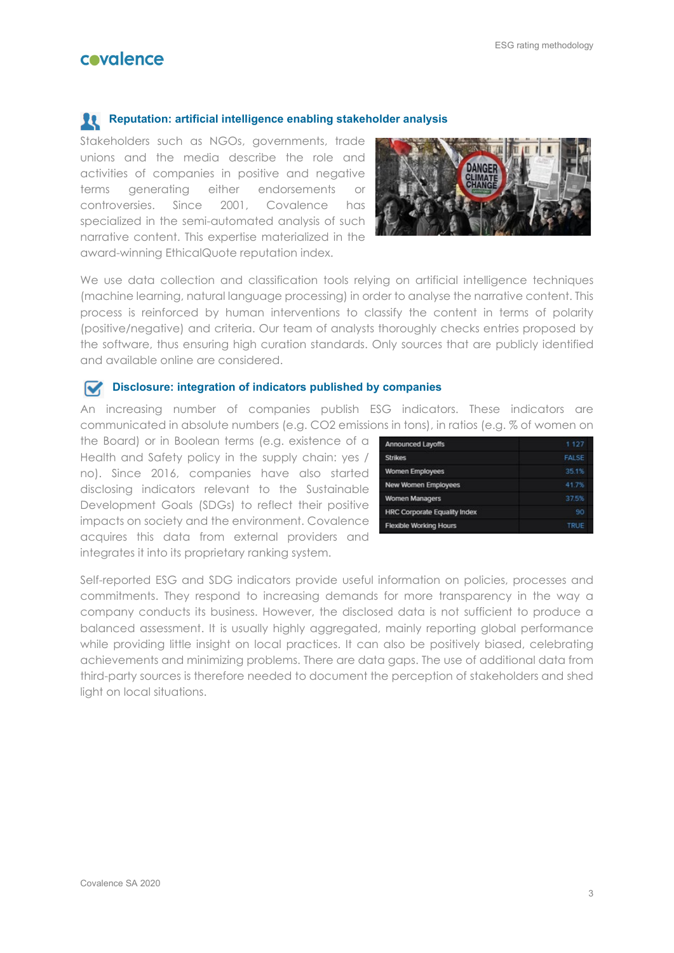#### ESG rating methodology

# covalence

## **Reputation: artificial intelligence enabling stakeholder analysis**

Stakeholders such as NGOs, governments, trade unions and the media describe the role and activities of companies in positive and negative terms generating either endorsements or controversies. Since 2001, Covalence has specialized in the semi-automated analysis of such narrative content. This expertise materialized in the award-winning EthicalQuote reputation index.



We use data collection and classification tools relying on artificial intelligence techniques (machine learning, natural language processing) in order to analyse the narrative content. This process is reinforced by human interventions to classify the content in terms of polarity (positive/negative) and criteria. Our team of analysts thoroughly checks entries proposed by the software, thus ensuring high curation standards. Only sources that are publicly identified and available online are considered.

#### **Disclosure: integration of indicators published by companies**

An increasing number of companies publish ESG indicators. These indicators are communicated in absolute numbers (e.g. CO2 emissions in tons), in ratios (e.g. % of women on

the Board) or in Boolean terms (e.g. existence of a Health and Safety policy in the supply chain: yes / no). Since 2016, companies have also started disclosing indicators relevant to the Sustainable Development Goals (SDGs) to reflect their positive impacts on society and the environment. Covalence acquires this data from external providers and integrates it into its proprietary ranking system.

| <b>Announced Layoffs</b>            | 1127         |
|-------------------------------------|--------------|
| <b>Strikes</b>                      | <b>FAISE</b> |
| <b>Women Employees</b>              | 35.1%        |
| New Women Employees                 | 41.7%        |
| <b>Women Managers</b>               | 37.5%        |
| <b>HRC Corporate Equality Index</b> | 90           |
| <b>Flexible Working Hours</b>       | <b>TRUE</b>  |

Self-reported ESG and SDG indicators provide useful information on policies, processes and commitments. They respond to increasing demands for more transparency in the way a company conducts its business. However, the disclosed data is not sufficient to produce a balanced assessment. It is usually highly aggregated, mainly reporting global performance while providing little insight on local practices. It can also be positively biased, celebrating achievements and minimizing problems. There are data gaps. The use of additional data from third-party sources is therefore needed to document the perception of stakeholders and shed light on local situations.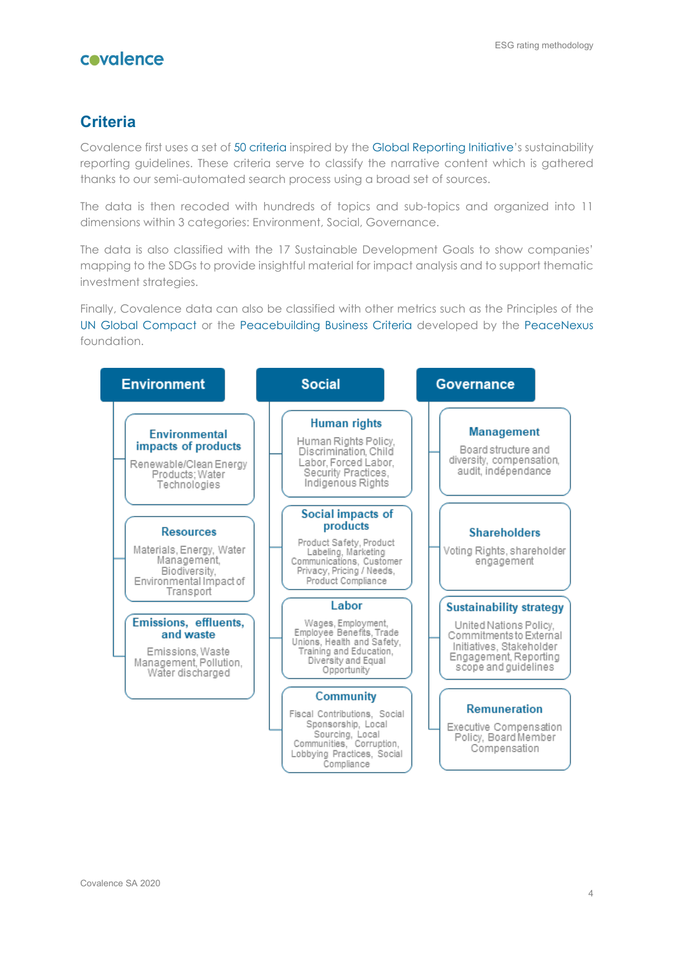## **Criteria**

Covalence first uses a set o[f 50 criteria](https://www.covalence.ch/docs/CovalenceESGCriteria.pdf) inspired by the [Global Reporting Initiative'](https://www.globalreporting.org/)s sustainability reporting guidelines. These criteria serve to classify the narrative content which is gathered thanks to our semi-automated search process using a broad set of sources.

The data is then recoded with hundreds of topics and sub-topics and organized into 11 dimensions within 3 categories: Environment, Social, Governance.

The data is also classified with the 17 Sustainable Development Goals to show companies' mapping to the SDGs to provide insightful material for impact analysis and to support thematic investment strategies.

Finally, Covalence data can also be classified with other metrics such as the Principles of the [UN Global Compact](https://www.unglobalcompact.org/) or the [Peacebuilding Business Criteria](https://peacenexus.org/wp-content/uploads/2019/01/PBBC-final-revision.pdf) developed by the [PeaceNexus](https://peacenexus.org/) foundation.

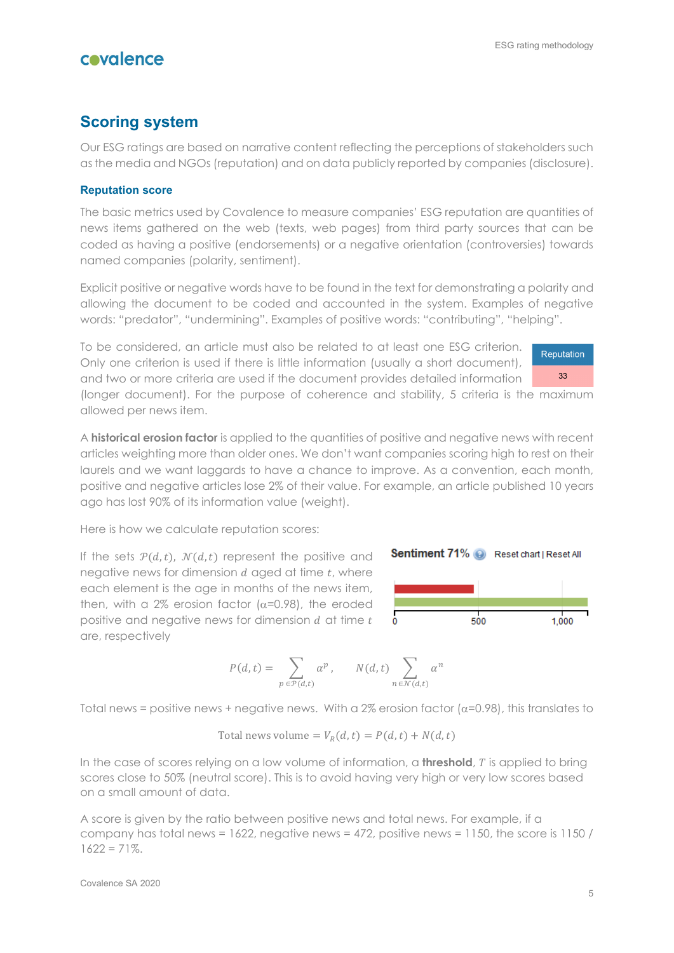## **Scoring system**

Our ESG ratings are based on narrative content reflecting the perceptions of stakeholders such as the media and NGOs (reputation) and on data publicly reported by companies (disclosure).

#### **Reputation score**

The basic metrics used by Covalence to measure companies' ESG reputation are quantities of news items gathered on the web (texts, web pages) from third party sources that can be coded as having a positive (endorsements) or a negative orientation (controversies) towards named companies (polarity, sentiment).

Explicit positive or negative words have to be found in the text for demonstrating a polarity and allowing the document to be coded and accounted in the system. Examples of negative words: "predator", "undermining". Examples of positive words: "contributing", "helping".

To be considered, an article must also be related to at least one ESG criterion. Only one criterion is used if there is little information (usually a short document), and two or more criteria are used if the document provides detailed information

Reputation 33

(longer document). For the purpose of coherence and stability, 5 criteria is the maximum allowed per news item.

A **historical erosion factor** is applied to the quantities of positive and negative news with recent articles weighting more than older ones. We don't want companies scoring high to rest on their laurels and we want laggards to have a chance to improve. As a convention, each month, positive and negative articles lose 2% of their value. For example, an article published 10 years ago has lost 90% of its information value (weight).

Here is how we calculate reputation scores:

If the sets  $P(d,t)$ ,  $N(d,t)$  represent the positive and negative news for dimension  $d$  aged at time  $t$ , where each element is the age in months of the news item, then, with a  $2\%$  erosion factor ( $α=0.98$ ), the eroded positive and negative news for dimension  $d$  at time  $t$ are, respectively





$$
P(d,t) = \sum_{p \in \mathcal{P}(d,t)} \alpha^p, \qquad N(d,t) \sum_{n \in \mathcal{N}(d,t)} \alpha^n
$$

Total news = positive news + negative news. With a 2% erosion factor  $(\alpha=0.98)$ , this translates to

Total news volume = 
$$
V_R(d, t) = P(d, t) + N(d, t)
$$

In the case of scores relying on a low volume of information, a **threshold**, T is applied to bring scores close to 50% (neutral score). This is to avoid having very high or very low scores based on a small amount of data.

A score is given by the ratio between positive news and total news. For example, if a company has total news = 1622, negative news = 472, positive news = 1150, the score is 1150 /  $1622 = 71\%$ .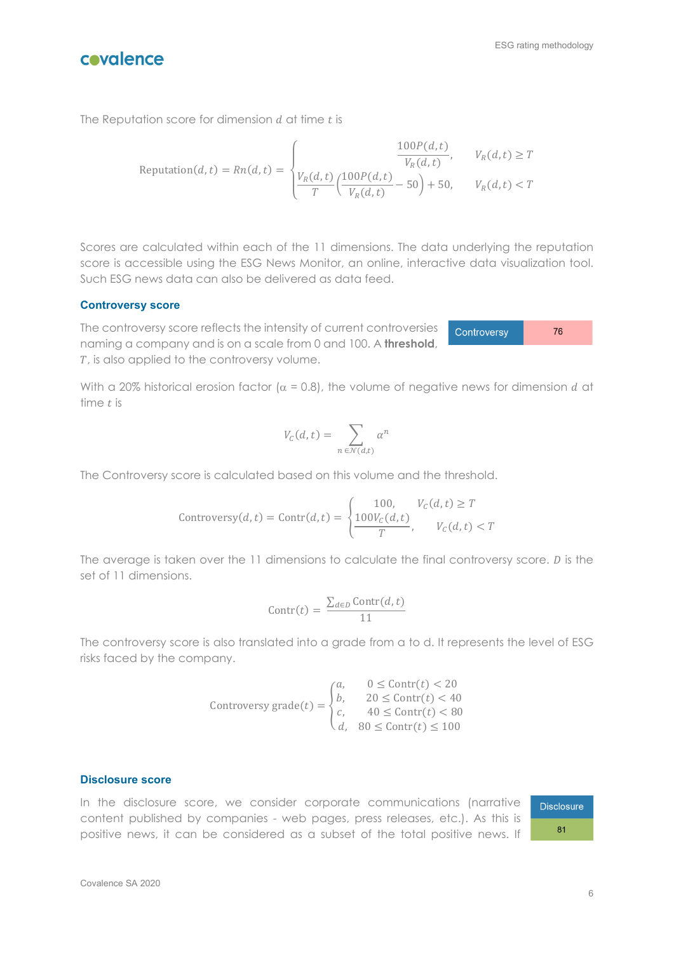

76

Controversy

covalence

The Reputation score for dimension  $d$  at time  $t$  is

$$
Reputation(d, t) = Rn(d, t) = \begin{cases} \frac{100P(d, t)}{V_R(d, t)}, & V_R(d, t) \ge T \\ \frac{V_R(d, t)}{T} \left(\frac{100P(d, t)}{V_R(d, t)} - 50\right) + 50, & V_R(d, t) < T \end{cases}
$$

Scores are calculated within each of the 11 dimensions. The data underlying the reputation score is accessible using the ESG News Monitor, an online, interactive data visualization tool. Such ESG news data can also be delivered as data feed.

#### **Controversy score**

The controversy score reflects the intensity of current controversies naming a company and is on a scale from 0 and 100. A **threshold**, T, is also applied to the controversy volume.

With a 20% historical erosion factor ( $\alpha$  = 0.8), the volume of negative news for dimension *d* at time  $t$  is

$$
V_C(d,t) = \sum_{n \in \mathcal{N}(d,t)} \alpha^n
$$

The Controversy score is calculated based on this volume and the threshold.

$$
\text{Controversy}(d, t) = \text{Contr}(d, t) = \begin{cases} 100, & V_c(d, t) \ge T \\ \frac{100V_c(d, t)}{T}, & V_c(d, t) < T \end{cases}
$$

The average is taken over the  $11$  dimensions to calculate the final controversy score.  $D$  is the set of 11 dimensions.

$$
\text{Contr}(t) = \frac{\sum_{d \in D} \text{Contr}(d, t)}{11}
$$

The controversy score is also translated into a grade from a to d. It represents the level of ESG risks faced by the company.

$$
\text{Controversy grade}(t) = \begin{cases} a, & 0 \le \text{Contr}(t) < 20 \\ b, & 20 \le \text{Contr}(t) < 40 \\ c, & 40 \le \text{Contr}(t) < 80 \\ d, & 80 \le \text{Contr}(t) \le 100 \end{cases}
$$

#### **Disclosure score**

In the disclosure score, we consider corporate communications (narrative content published by companies - web pages, press releases, etc.). As this is positive news, it can be considered as a subset of the total positive news. If

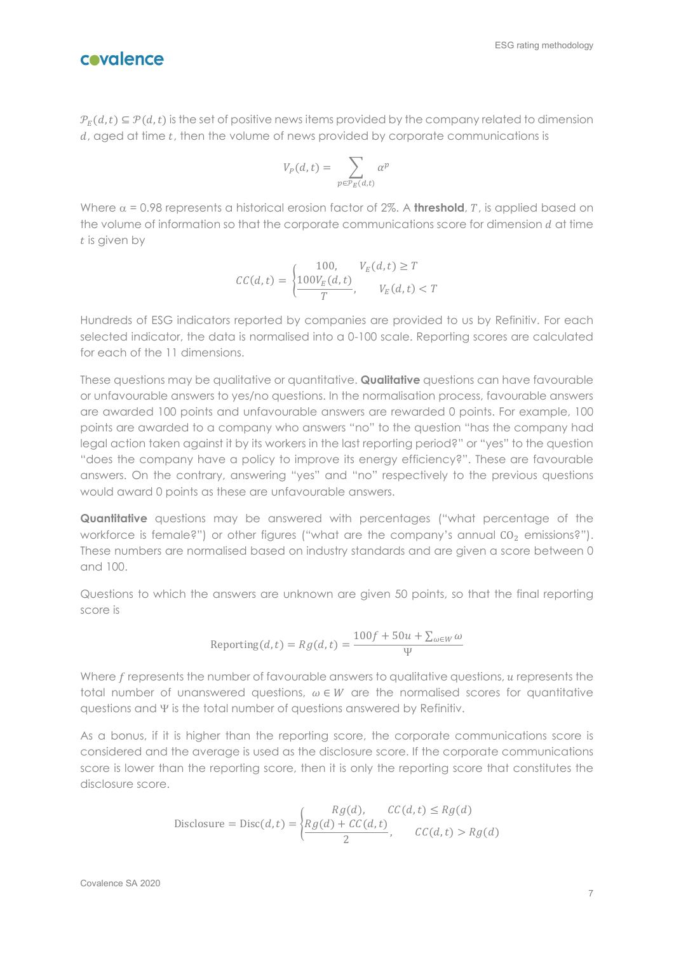

 $\mathcal{P}_F(d,t) \subseteq \mathcal{P}(d,t)$  is the set of positive news items provided by the company related to dimension  $d$ , aged at time  $t$ , then the volume of news provided by corporate communications is

$$
V_P(d,t) = \sum_{p \in \mathcal{P}_E(d,t)} \alpha^p
$$

Where  $\alpha$  = 0.98 represents a historical erosion factor of 2%. A **threshold**, T, is applied based on the volume of information so that the corporate communications score for dimension  $d$  at time  $t$  is given by

$$
CC(d,t) = \begin{cases} 100, & V_E(d,t) \ge T \\ \frac{100V_E(d,t)}{T}, & V_E(d,t) < T \end{cases}
$$

Hundreds of ESG indicators reported by companies are provided to us by Refinitiv. For each selected indicator, the data is normalised into a 0-100 scale. Reporting scores are calculated for each of the 11 dimensions.

These questions may be qualitative or quantitative. **Qualitative** questions can have favourable or unfavourable answers to yes/no questions. In the normalisation process, favourable answers are awarded 100 points and unfavourable answers are rewarded 0 points. For example, 100 points are awarded to a company who answers "no" to the question "has the company had legal action taken against it by its workers in the last reporting period?" or "yes" to the question "does the company have a policy to improve its energy efficiency?". These are favourable answers. On the contrary, answering "yes" and "no" respectively to the previous questions would award 0 points as these are unfavourable answers.

**Quantitative** questions may be answered with percentages ("what percentage of the workforce is female?") or other figures ("what are the company's annual  $CO<sub>2</sub>$  emissions?"). These numbers are normalised based on industry standards and are given a score between 0 and 100.

Questions to which the answers are unknown are given 50 points, so that the final reporting score is

$$
Reporting(d, t) = Rg(d, t) = \frac{100f + 50u + \sum_{\omega \in W} \omega}{\Psi}
$$

Where  $f$  represents the number of favourable answers to qualitative questions,  $u$  represents the total number of unanswered questions,  $\omega \in W$  are the normalised scores for quantitative questions and Ψ is the total number of questions answered by Refinitiv.

As a bonus, if it is higher than the reporting score, the corporate communications score is considered and the average is used as the disclosure score. If the corporate communications score is lower than the reporting score, then it is only the reporting score that constitutes the disclosure score.

$$
\text{Disclosure} = \text{Disc}(d, t) = \begin{cases} Rg(d), & CC(d, t) \le Rg(d) \\ \frac{Rg(d) + CC(d, t)}{2}, & CC(d, t) > Rg(d) \end{cases}
$$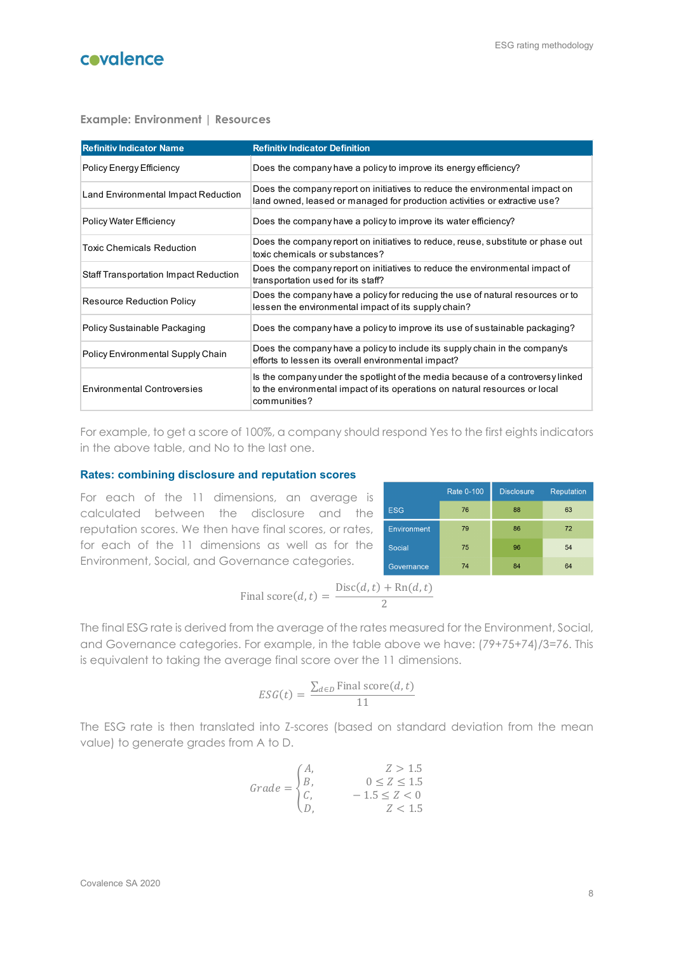**Example: Environment | Resources**

| <b>Refinitiv Indicator Name</b>              | <b>Refinitiv Indicator Definition</b>                                                                                                                                          |
|----------------------------------------------|--------------------------------------------------------------------------------------------------------------------------------------------------------------------------------|
| Policy Energy Efficiency                     | Does the company have a policy to improve its energy efficiency?                                                                                                               |
| Land Environmental Impact Reduction          | Does the company report on initiatives to reduce the environmental impact on<br>land owned, leased or managed for production activities or extractive use?                     |
| <b>Policy Water Efficiency</b>               | Does the company have a policy to improve its water efficiency?                                                                                                                |
| <b>Toxic Chemicals Reduction</b>             | Does the company report on initiatives to reduce, reuse, substitute or phase out<br>toxic chemicals or substances?                                                             |
| <b>Staff Transportation Impact Reduction</b> | Does the company report on initiatives to reduce the environmental impact of<br>transportation used for its staff?                                                             |
| <b>Resource Reduction Policy</b>             | Does the company have a policy for reducing the use of natural resources or to<br>lessen the environmental impact of its supply chain?                                         |
| Policy Sustainable Packaging                 | Does the company have a policy to improve its use of sustainable packaging?                                                                                                    |
| Policy Environmental Supply Chain            | Does the company have a policy to include its supply chain in the company's<br>efforts to lessen its overall environmental impact?                                             |
| <b>Environmental Controversies</b>           | Is the company under the spotlight of the media because of a controversy linked<br>to the environmental impact of its operations on natural resources or local<br>communities? |

For example, to get a score of 100%, a company should respond Yes to the first eights indicators in the above table, and No to the last one.

#### **Rates: combining disclosure and reputation scores**

For each of the 11 dimensions, an average is calculated between the disclosure and the reputation scores. We then have final scores, or rates, for each of the 11 dimensions as well as for the Environment, Social, and Governance categories.

|                    | <b>Rate 0-100</b> | <b>Disclosure</b> | <b>Reputation</b> |
|--------------------|-------------------|-------------------|-------------------|
| <b>ESG</b>         | 76                | 88                | 63                |
| <b>Environment</b> | 79                | 86                | 72                |
| Social,            | 75                | 96                | 54                |
| Governance         | 74                | 84                | 64                |

Final score
$$
(d, t)
$$
 = 
$$
\frac{\text{Disc}(d, t) + \text{Rn}(d, t)}{2}
$$

The final ESG rate is derived from the average of the rates measured for the Environment, Social, and Governance categories. For example, in the table above we have: (79+75+74)/3=76. This is equivalent to taking the average final score over the 11 dimensions.

$$
ESG(t) = \frac{\sum_{d \in D} \text{Final score}(d, t)}{11}
$$

The ESG rate is then translated into Z-scores (based on standard deviation from the mean value) to generate grades from A to D.

$$
Grade = \begin{cases} A, & Z > 1.5 \\ B, & 0 \le Z \le 1.5 \\ C, & -1.5 \le Z < 0 \\ D, & Z < 1.5 \end{cases}
$$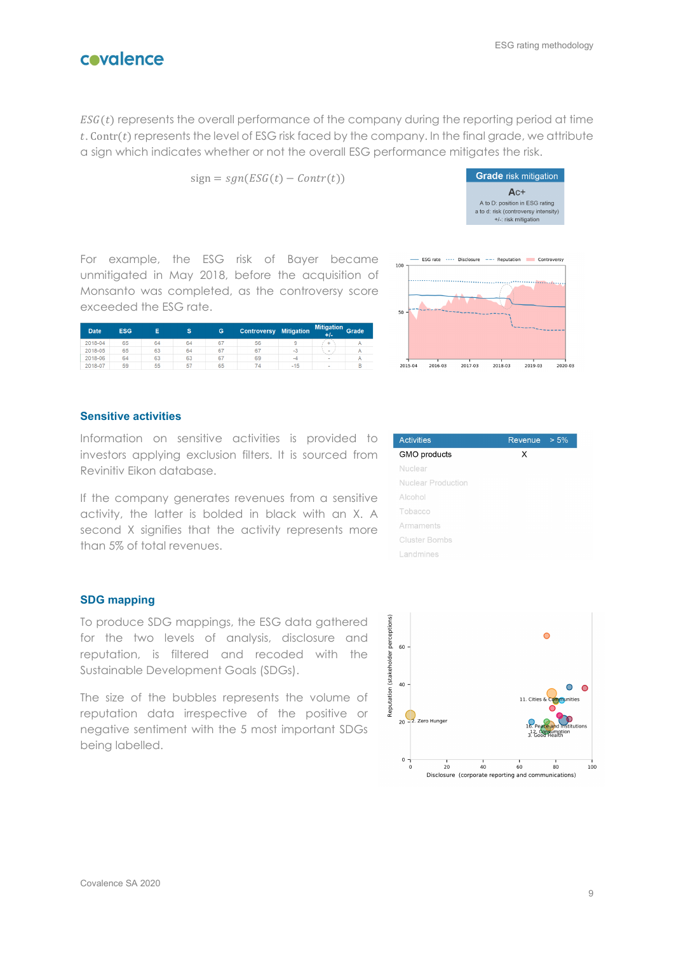$ESG(t)$  represents the overall performance of the company during the reporting period at time t. Contr(t) represents the level of ESG risk faced by the company. In the final grade, we attribute a sign which indicates whether or not the overall ESG performance mitigates the risk.

$$
sign = sgn(ESG(t) - Contr(t))
$$



For example, the ESG risk of Bayer became unmitigated in May 2018, before the acquisition of Monsanto was completed, as the controversy score exceeded the ESG rate.

| <b>Date</b> | <b>ESG</b> |    | s  | G  | <b>Controversy</b> | <b>Mitigation</b> | <b>Mitigation</b><br>$+1-$ | <b>Grade</b> |
|-------------|------------|----|----|----|--------------------|-------------------|----------------------------|--------------|
| 2018-04     | 65         | 64 | 64 | 67 | 56                 | 9                 | ∸                          |              |
| 2018-05     | 65         | 63 | 64 | 67 | 67                 | -0                | ۰                          |              |
| 2018-06     | 64         | 63 | 63 | 67 | 69                 | -4                | ٠                          |              |
| 2018-07     | 59         | 55 | 57 | 65 | 74                 | $-15$             | $\overline{\phantom{a}}$   |              |



#### **Sensitive activities**

Information on sensitive activities is provided to investors applying exclusion filters. It is sourced from Revinitiv Eikon database.

If the company generates revenues from a sensitive activity, the latter is bolded in black with an X. A second X signifies that the activity represents more than 5% of total revenues.

| <b>Activities</b>    | Revenue | $> 5\%$ |
|----------------------|---------|---------|
| GMO products         | х       |         |
| Nuclear              |         |         |
| Nuclear Production   |         |         |
| Alcohol              |         |         |
| Tobacco              |         |         |
| Armaments            |         |         |
| <b>Cluster Bombs</b> |         |         |
| Landmines            |         |         |

#### **SDG mapping**

To produce SDG mappings, the ESG data gathered for the two levels of analysis, disclosure and reputation, is filtered and recoded with the Sustainable Development Goals (SDGs).

The size of the bubbles represents the volume of reputation data irrespective of the positive or negative sentiment with the 5 most important SDGs being labelled.